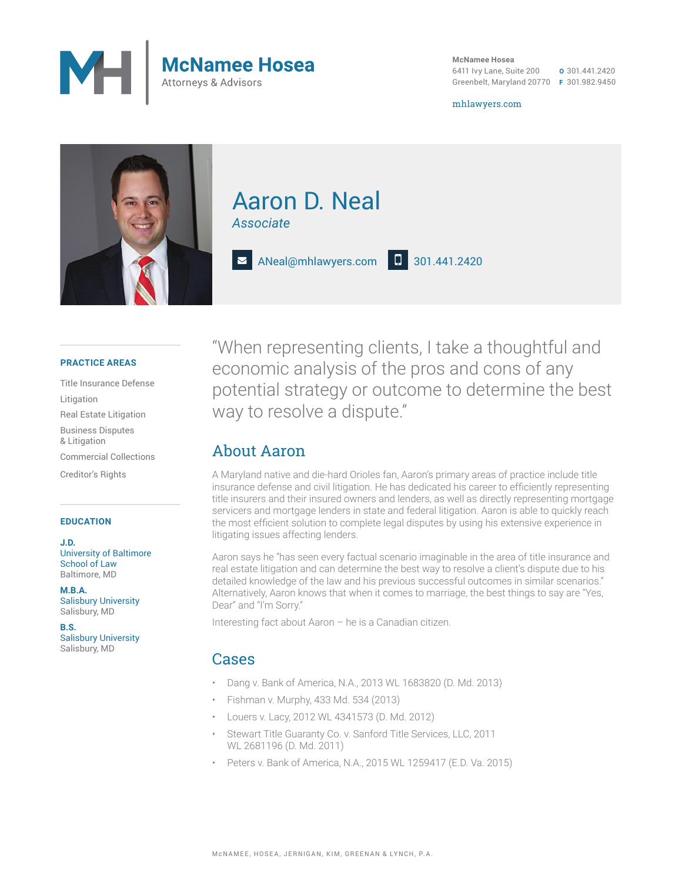

**McNamee Hosea** 6411 Ivy Lane, Suite 200 Greenbelt, Maryland 20770 **F** 301.982.9450 **O** 301.441.2420

mhlawyers.com



## Aaron D. Neal *Associate*

ANeal@mhlawyers.com **D** 301.441.2420

#### **PRACTICE AREAS**

Title Insurance Defense Litigation Real Estate Litigation Business Disputes & Litigation Commercial Collections Creditor's Rights

#### **EDUCATION**

**J.D.** University of Baltimore School of Law Baltimore, MD

**M.B.A.** Salisbury University Salisbury, MD

**B.S.** Salisbury University Salisbury, MD

"When representing clients, I take a thoughtful and economic analysis of the pros and cons of any potential strategy or outcome to determine the best way to resolve a dispute."

### About Aaron

A Maryland native and die-hard Orioles fan, Aaron's primary areas of practice include title insurance defense and civil litigation. He has dedicated his career to efficiently representing title insurers and their insured owners and lenders, as well as directly representing mortgage servicers and mortgage lenders in state and federal litigation. Aaron is able to quickly reach the most efficient solution to complete legal disputes by using his extensive experience in litigating issues affecting lenders.

Aaron says he "has seen every factual scenario imaginable in the area of title insurance and real estate litigation and can determine the best way to resolve a client's dispute due to his detailed knowledge of the law and his previous successful outcomes in similar scenarios." Alternatively, Aaron knows that when it comes to marriage, the best things to say are "Yes, Dear" and "I'm Sorry."

Interesting fact about Aaron – he is a Canadian citizen.

### Cases

- Dang v. Bank of America, N.A., 2013 WL 1683820 (D. Md. 2013)
- Fishman v. Murphy, 433 Md. 534 (2013)
- Louers v. Lacy, 2012 WL 4341573 (D. Md. 2012)
- Stewart Title Guaranty Co. v. Sanford Title Services, LLC, 2011 WL 2681196 (D. Md. 2011)
- Peters v. Bank of America, N.A., 2015 WL 1259417 (E.D. Va. 2015)